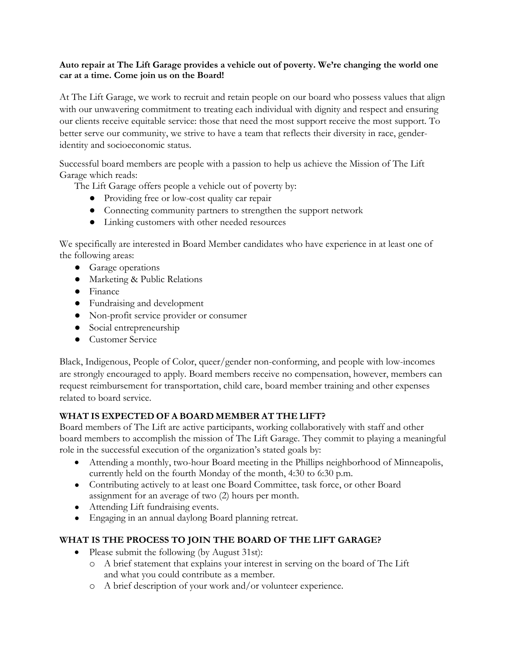### **Auto repair at The Lift Garage provides a vehicle out of poverty. We're changing the world one car at a time. Come join us on the Board!**

At The Lift Garage, we work to recruit and retain people on our board who possess values that align with our unwavering commitment to treating each individual with dignity and respect and ensuring our clients receive equitable service: those that need the most support receive the most support. To better serve our community, we strive to have a team that reflects their diversity in race, genderidentity and socioeconomic status.

Successful board members are people with a passion to help us achieve the Mission of The Lift Garage which reads:

The Lift Garage offers people a vehicle out of poverty by:

- Providing free or low-cost quality car repair
- Connecting community partners to strengthen the support network
- Linking customers with other needed resources

We specifically are interested in Board Member candidates who have experience in at least one of the following areas:

- Garage operations
- Marketing & Public Relations
- Finance
- Fundraising and development
- Non-profit service provider or consumer
- Social entrepreneurship
- Customer Service

Black, Indigenous, People of Color, queer/gender non-conforming, and people with low-incomes are strongly encouraged to apply. Board members receive no compensation, however, members can request reimbursement for transportation, child care, board member training and other expenses related to board service.

# **WHAT IS EXPECTED OF A BOARD MEMBER AT THE LIFT?**

Board members of The Lift are active participants, working collaboratively with staff and other board members to accomplish the mission of The Lift Garage. They commit to playing a meaningful role in the successful execution of the organization's stated goals by:

- Attending a monthly, two-hour Board meeting in the Phillips neighborhood of Minneapolis, currently held on the fourth Monday of the month, 4:30 to 6:30 p.m.
- Contributing actively to at least one Board Committee, task force, or other Board assignment for an average of two (2) hours per month.
- Attending Lift fundraising events.
- Engaging in an annual daylong Board planning retreat.

# **WHAT IS THE PROCESS TO JOIN THE BOARD OF THE LIFT GARAGE?**

- Please submit the following (by August 31st):
	- o A brief statement that explains your interest in serving on the board of The Lift and what you could contribute as a member.
	- o A brief description of your work and/or volunteer experience.